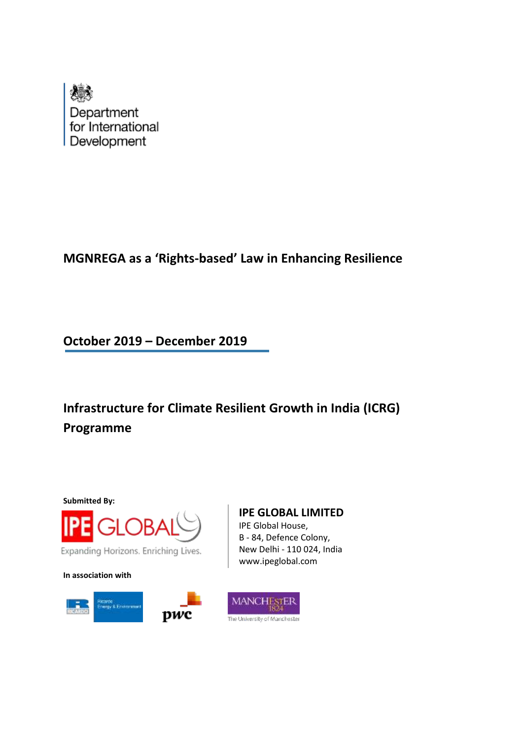

# **MGNREGA as a 'Rights-based' Law in Enhancing Resilience**

**October 2019 – December 2019**

**Infrastructure for Climate Resilient Growth in India (ICRG) Programme**



**In association with**



# **IPE GLOBAL LIMITED**

IPE Global House, B - 84, Defence Colony, New Delhi - 110 024, India www.ipeglobal.com

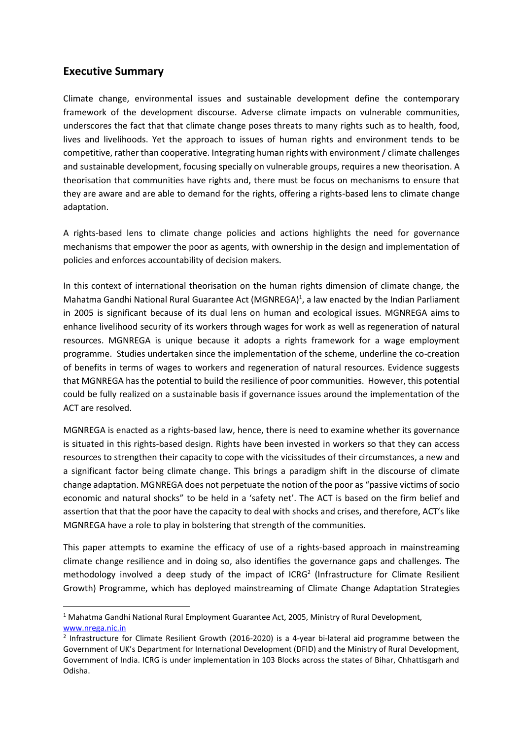### **Executive Summary**

Climate change, environmental issues and sustainable development define the contemporary framework of the development discourse. Adverse climate impacts on vulnerable communities, underscores the fact that that climate change poses threats to many rights such as to health, food, lives and livelihoods. Yet the approach to issues of human rights and environment tends to be competitive, rather than cooperative. Integrating human rights with environment / climate challenges and sustainable development, focusing specially on vulnerable groups, requires a new theorisation. A theorisation that communities have rights and, there must be focus on mechanisms to ensure that they are aware and are able to demand for the rights, offering a rights-based lens to climate change adaptation.

A rights-based lens to climate change policies and actions highlights the need for governance mechanisms that empower the poor as agents, with ownership in the design and implementation of policies and enforces accountability of decision makers.

In this context of international theorisation on the human rights dimension of climate change, the Mahatma Gandhi National Rural Guarantee Act (MGNREGA)<sup>1</sup>, a law enacted by the Indian Parliament in 2005 is significant because of its dual lens on human and ecological issues. MGNREGA aims to enhance livelihood security of its workers through wages for work as well as regeneration of natural resources. MGNREGA is unique because it adopts a rights framework for a wage employment programme. Studies undertaken since the implementation of the scheme, underline the co-creation of benefits in terms of wages to workers and regeneration of natural resources. Evidence suggests that MGNREGA has the potential to build the resilience of poor communities. However, this potential could be fully realized on a sustainable basis if governance issues around the implementation of the ACT are resolved.

MGNREGA is enacted as a rights-based law, hence, there is need to examine whether its governance is situated in this rights-based design. Rights have been invested in workers so that they can access resources to strengthen their capacity to cope with the vicissitudes of their circumstances, a new and a significant factor being climate change. This brings a paradigm shift in the discourse of climate change adaptation. MGNREGA does not perpetuate the notion of the poor as "passive victims of socio economic and natural shocks" to be held in a 'safety net'. The ACT is based on the firm belief and assertion that that the poor have the capacity to deal with shocks and crises, and therefore, ACT's like MGNREGA have a role to play in bolstering that strength of the communities.

This paper attempts to examine the efficacy of use of a rights-based approach in mainstreaming climate change resilience and in doing so, also identifies the governance gaps and challenges. The methodology involved a deep study of the impact of ICRG<sup>2</sup> (Infrastructure for Climate Resilient Growth) Programme, which has deployed mainstreaming of Climate Change Adaptation Strategies

<sup>&</sup>lt;sup>1</sup> Mahatma Gandhi National Rural Employment Guarantee Act, 2005, Ministry of Rural Development, [www.nrega.nic.in](http://www.nrega.nic.in/)

<sup>&</sup>lt;sup>2</sup> Infrastructure for Climate Resilient Growth (2016-2020) is a 4-year bi-lateral aid programme between the Government of UK's Department for International Development (DFID) and the Ministry of Rural Development, Government of India. ICRG is under implementation in 103 Blocks across the states of Bihar, Chhattisgarh and Odisha.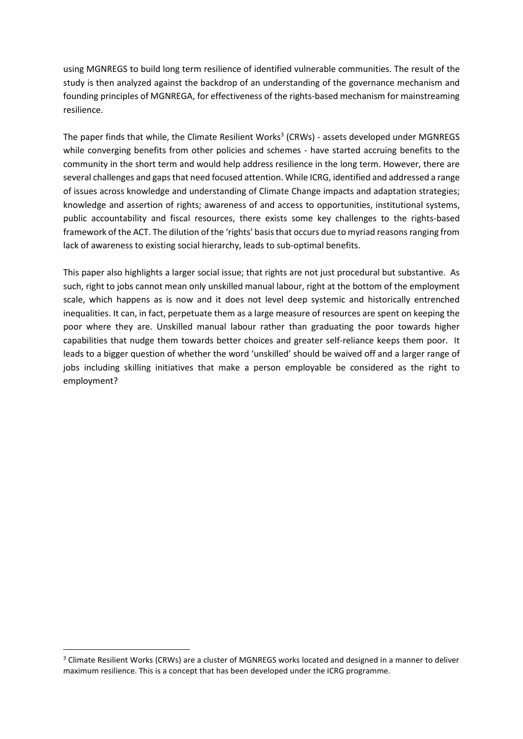using MGNREGS to build long term resilience of identified vulnerable communities. The result of the study is then analyzed against the backdrop of an understanding of the governance mechanism and founding principles of MGNREGA, for effectiveness of the rights-based mechanism for mainstreaming resilience.

The paper finds that while, the Climate Resilient Works<sup>3</sup> (CRWs) - assets developed under MGNREGS while converging benefits from other policies and schemes - have started accruing benefits to the community in the short term and would help address resilience in the long term. However, there are several challenges and gaps that need focused attention. While ICRG, identified and addressed a range of issues across knowledge and understanding of Climate Change impacts and adaptation strategies; knowledge and assertion of rights; awareness of and access to opportunities, institutional systems, public accountability and fiscal resources, there exists some key challenges to the rights-based framework of the ACT. The dilution of the 'rights' basisthat occurs due to myriad reasonsranging from lack of awareness to existing social hierarchy, leads to sub-optimal benefits.

This paper also highlights a larger social issue; that rights are not just procedural but substantive. As such, right to jobs cannot mean only unskilled manual labour, right at the bottom of the employment scale, which happens as is now and it does not level deep systemic and historically entrenched inequalities. It can, in fact, perpetuate them as a large measure of resources are spent on keeping the poor where they are. Unskilled manual labour rather than graduating the poor towards higher capabilities that nudge them towards better choices and greater self-reliance keeps them poor. It leads to a bigger question of whether the word 'unskilled' should be waived off and a larger range of jobs including skilling initiatives that make a person employable be considered as the right to employment?

<sup>&</sup>lt;sup>3</sup> Climate Resilient Works (CRWs) are a cluster of MGNREGS works located and designed in a manner to deliver maximum resilience. This is a concept that has been developed under the ICRG programme.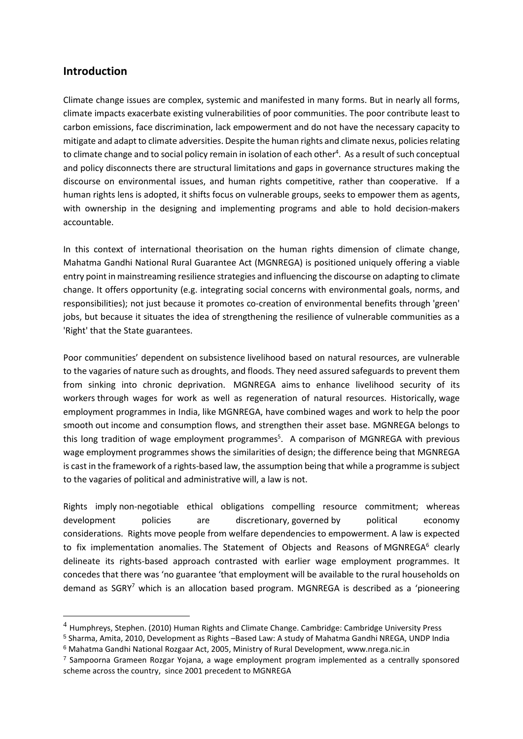### **Introduction**

Climate change issues are complex, systemic and manifested in many forms. But in nearly all forms, climate impacts exacerbate existing vulnerabilities of poor communities. The poor contribute least to carbon emissions, face discrimination, lack empowerment and do not have the necessary capacity to mitigate and adapt to climate adversities. Despite the human rights and climate nexus, policies relating to climate change and to social policy remain in isolation of each other<sup>4</sup>. As a result of such conceptual and policy disconnects there are structural limitations and gaps in governance structures making the discourse on environmental issues, and human rights competitive, rather than cooperative. If a human rights lens is adopted, it shifts focus on vulnerable groups, seeks to empower them as agents, with ownership in the designing and implementing programs and able to hold decision-makers accountable.

In this context of international theorisation on the human rights dimension of climate change, Mahatma Gandhi National Rural Guarantee Act (MGNREGA) is positioned uniquely offering a viable entry point in mainstreaming resilience strategies and influencing the discourse on adapting to climate change. It offers opportunity (e.g. integrating social concerns with environmental goals, norms, and responsibilities); not just because it promotes co-creation of environmental benefits through 'green' jobs, but because it situates the idea of strengthening the resilience of vulnerable communities as a 'Right' that the State guarantees.

Poor communities' dependent on subsistence livelihood based on natural resources, are vulnerable to the vagaries of nature such as droughts, and floods. They need assured safeguards to prevent them from sinking into chronic deprivation. MGNREGA aims to enhance livelihood security of its workers through wages for work as well as regeneration of natural resources. Historically, wage employment programmes in India, like MGNREGA, have combined wages and work to help the poor smooth out income and consumption flows, and strengthen their asset base. MGNREGA belongs to this long tradition of wage employment programmes<sup>5</sup>. A comparison of MGNREGA with previous wage employment programmes shows the similarities of design; the difference being that MGNREGA is cast in the framework of a rights-based law, the assumption being that while a programme issubject to the vagaries of political and administrative will, a law is not.

Rights imply non-negotiable ethical obligations compelling resource commitment; whereas development policies are discretionary, governed by political economy considerations. Rights move people from welfare dependencies to empowerment. A law is expected to fix implementation anomalies. The Statement of Objects and Reasons of MGNREGA<sup>6</sup> clearly delineate its rights-based approach contrasted with earlier wage employment programmes. It concedes that there was 'no guarantee 'that employment will be available to the rural households on demand as SGRY<sup>7</sup> which is an allocation based program. MGNREGA is described as a 'pioneering

<sup>5</sup> Sharma, Amita, 2010, Development as Rights –Based Law: A study of Mahatma Gandhi NREGA, UNDP India <sup>6</sup> Mahatma Gandhi National Rozgaar Act, 2005, Ministry of Rural Development, www.nrega.nic.in

 $4$  Humphreys, Stephen. (2010) Human Rights and Climate Change. Cambridge: Cambridge University Press

 $7$  Sampoorna Grameen Rozgar Yojana, a wage employment program implemented as a centrally sponsored scheme across the country, since 2001 precedent to MGNREGA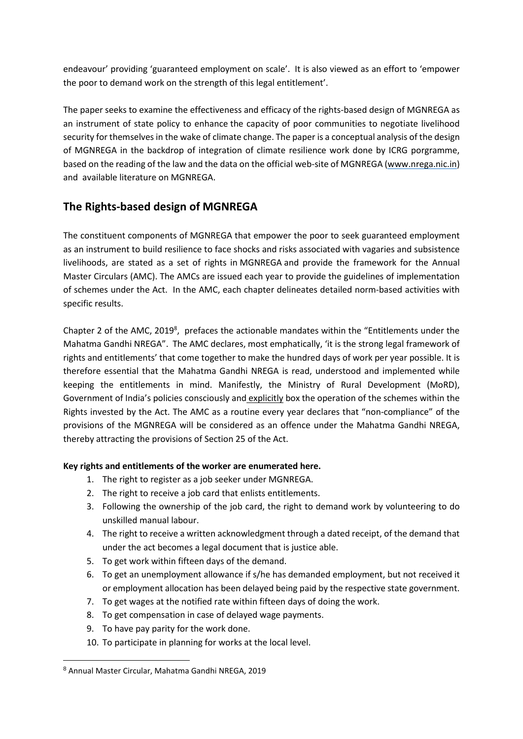endeavour' providing 'guaranteed employment on scale'. It is also viewed as an effort to 'empower the poor to demand work on the strength of this legal entitlement'.

The paper seeks to examine the effectiveness and efficacy of the rights-based design of MGNREGA as an instrument of state policy to enhance the capacity of poor communities to negotiate livelihood security for themselves in the wake of climate change. The paper is a conceptual analysis of the design of MGNREGA in the backdrop of integration of climate resilience work done by ICRG porgramme, based on the reading of the law and the data on the official web-site of MGNREGA [\(www.nrega.nic.in\)](http://www.nrega.nic.in/) and available literature on MGNREGA.

# **The Rights-based design of MGNREGA**

The constituent components of MGNREGA that empower the poor to seek guaranteed employment as an instrument to build resilience to face shocks and risks associated with vagaries and subsistence livelihoods, are stated as a set of rights in MGNREGA and provide the framework for the Annual Master Circulars (AMC). The AMCs are issued each year to provide the guidelines of implementation of schemes under the Act. In the AMC, each chapter delineates detailed norm-based activities with specific results.

Chapter 2 of the AMC, 2019<sup>8</sup>, prefaces the actionable mandates within the "Entitlements under the Mahatma Gandhi NREGA". The AMC declares, most emphatically, 'it is the strong legal framework of rights and entitlements' that come together to make the hundred days of work per year possible. It is therefore essential that the Mahatma Gandhi NREGA is read, understood and implemented while keeping the entitlements in mind. Manifestly, the Ministry of Rural Development (MoRD), Government of India's policies consciously and explicitly box the operation of the schemes within the Rights invested by the Act. The AMC as a routine every year declares that "non-compliance" of the provisions of the MGNREGA will be considered as an offence under the Mahatma Gandhi NREGA, thereby attracting the provisions of Section 25 of the Act.

### **Key rights and entitlements of the worker are enumerated here.**

- 1. The right to register as a job seeker under MGNREGA.
- 2. The right to receive a job card that enlists entitlements.
- 3. Following the ownership of the job card, the right to demand work by volunteering to do unskilled manual labour.
- 4. The right to receive a written acknowledgment through a dated receipt, of the demand that under the act becomes a legal document that is justice able.
- 5. To get work within fifteen days of the demand.
- 6. To get an unemployment allowance if s/he has demanded employment, but not received it or employment allocation has been delayed being paid by the respective state government.
- 7. To get wages at the notified rate within fifteen days of doing the work.
- 8. To get compensation in case of delayed wage payments.
- 9. To have pay parity for the work done.
- 10. To participate in planning for works at the local level.

<sup>8</sup> Annual Master Circular, Mahatma Gandhi NREGA, 2019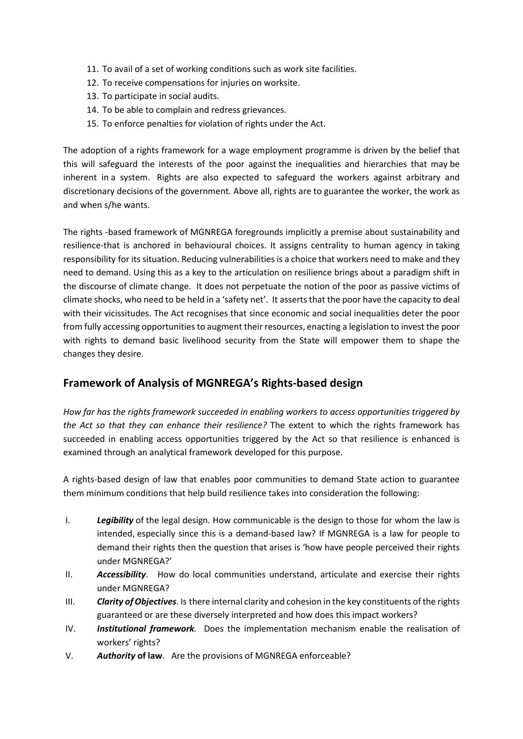- 11. To avail of a set of working conditions such as work site facilities.
- 12. To receive compensations for injuries on worksite.
- 13. To participate in social audits.
- 14. To be able to complain and redress grievances.
- 15. To enforce penalties for violation of rights under the Act.

The adoption of a rights framework for a wage employment programme is driven by the belief that this will safeguard the interests of the poor against the inequalities and hierarchies that may be inherent in a system. Rights are also expected to safeguard the workers against arbitrary and discretionary decisions of the government. Above all, rights are to guarantee the worker, the work as and when s/he wants.

The rights -based framework of MGNREGA foregrounds implicitly a premise about sustainability and resilience-that is anchored in behavioural choices. It assigns centrality to human agency in taking responsibility for its situation. Reducing vulnerabilitiesis a choice that workers need to make and they need to demand. Using this as a key to the articulation on resilience brings about a paradigm shift in the discourse of climate change. It does not perpetuate the notion of the poor as passive victims of climate shocks, who need to be held in a 'safety net'. It asserts that the poor have the capacity to deal with their vicissitudes. The Act recognises that since economic and social inequalities deter the poor from fully accessing opportunities to augment their resources, enacting a legislation to invest the poor with rights to demand basic livelihood security from the State will empower them to shape the changes they desire.

## **Framework of Analysis of MGNREGA's Rights-based design**

*How far has the rights framework succeeded in enabling workers to access opportunities triggered by the Act so that they can enhance their resilience?* The extent to which the rights framework has succeeded in enabling access opportunities triggered by the Act so that resilience is enhanced is examined through an analytical framework developed for this purpose.

A rights-based design of law that enables poor communities to demand State action to guarantee them minimum conditions that help build resilience takes into consideration the following:

- I. *Legibility* of the legal design. How communicable is the design to those for whom the law is intended, especially since this is a demand-based law? If MGNREGA is a law for people to demand their rights then the question that arises is 'how have people perceived their rights under MGNREGA?'
- II. *Accessibility*. How do local communities understand, articulate and exercise their rights under MGNREGA?
- III. *Clarity ofObjectives*. Is there internal clarity and cohesion in the key constituents of the rights guaranteed or are these diversely interpreted and how does this impact workers?
- IV. *Institutional framework.* Does the implementation mechanism enable the realisation of workers' rights?
- V. *Authority* **of law**. Are the provisions of MGNREGA enforceable?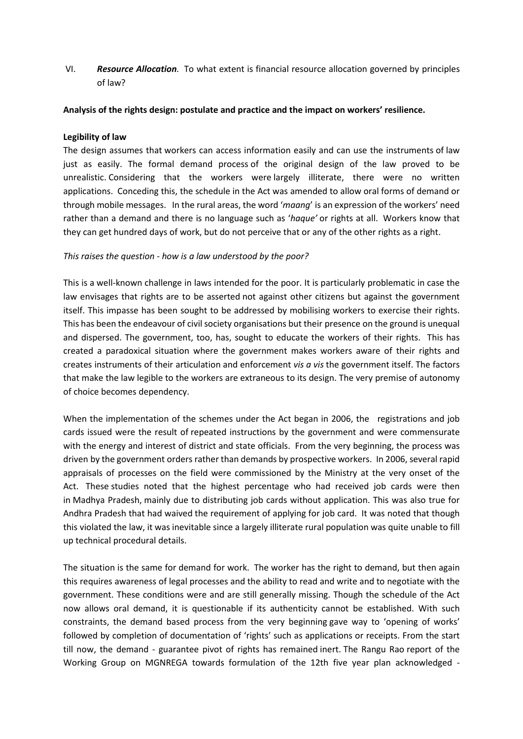VI. *Resource Allocation.* To what extent is financial resource allocation governed by principles of law?

#### **Analysis of the rights design: postulate and practice and the impact on workers' resilience.**

### **Legibility of law**

The design assumes that workers can access information easily and can use the instruments of law just as easily. The formal demand process of the original design of the law proved to be unrealistic. Considering that the workers were largely illiterate, there were no written applications. Conceding this, the schedule in the Act was amended to allow oral forms of demand or through mobile messages. In the rural areas, the word '*maang*' is an expression of the workers' need rather than a demand and there is no language such as '*haque'* or rights at all. Workers know that they can get hundred days of work, but do not perceive that or any of the other rights as a right.

### *This raises the question - how is a law understood by the poor?*

This is a well-known challenge in laws intended for the poor. It is particularly problematic in case the law envisages that rights are to be asserted not against other citizens but against the government itself. This impasse has been sought to be addressed by mobilising workers to exercise their rights. This has been the endeavour of civil society organisations but their presence on the ground is unequal and dispersed. The government, too, has, sought to educate the workers of their rights. This has created a paradoxical situation where the government makes workers aware of their rights and creates instruments of their articulation and enforcement *vis a vis* the government itself. The factors that make the law legible to the workers are extraneous to its design. The very premise of autonomy of choice becomes dependency.

When the implementation of the schemes under the Act began in 2006, the registrations and job cards issued were the result of repeated instructions by the government and were commensurate with the energy and interest of district and state officials. From the very beginning, the process was driven by the government orders rather than demands by prospective workers. In 2006, several rapid appraisals of processes on the field were commissioned by the Ministry at the very onset of the Act. These studies noted that the highest percentage who had received job cards were then in Madhya Pradesh, mainly due to distributing job cards without application. This was also true for Andhra Pradesh that had waived the requirement of applying for job card. It was noted that though this violated the law, it was inevitable since a largely illiterate rural population was quite unable to fill up technical procedural details.

The situation is the same for demand for work. The worker has the right to demand, but then again this requires awareness of legal processes and the ability to read and write and to negotiate with the government. These conditions were and are still generally missing. Though the schedule of the Act now allows oral demand, it is questionable if its authenticity cannot be established. With such constraints, the demand based process from the very beginning gave way to 'opening of works' followed by completion of documentation of 'rights' such as applications or receipts. From the start till now, the demand - guarantee pivot of rights has remained inert. The Rangu Rao report of the Working Group on MGNREGA towards formulation of the 12th five year plan acknowledged -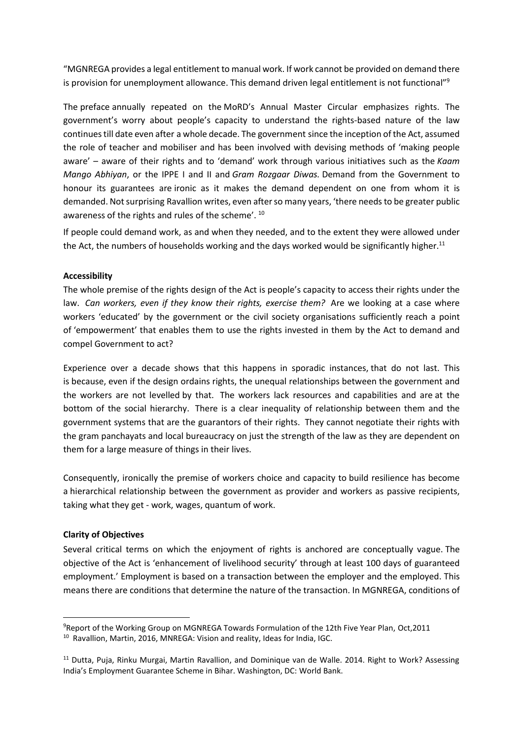"MGNREGA provides a legal entitlement to manual work. If work cannot be provided on demand there is provision for unemployment allowance. This demand driven legal entitlement is not functional"<sup>9</sup>

The preface annually repeated on the MoRD's Annual Master Circular emphasizes rights. The government's worry about people's capacity to understand the rights-based nature of the law continuestill date even after a whole decade. The government since the inception of the Act, assumed the role of teacher and mobiliser and has been involved with devising methods of 'making people aware' – aware of their rights and to 'demand' work through various initiatives such as the *Kaam Mango Abhiyan*, or the IPPE I and II and *Gram Rozgaar Diwas.* Demand from the Government to honour its guarantees are ironic as it makes the demand dependent on one from whom it is demanded. Not surprising Ravallion writes, even after so many years, 'there needs to be greater public awareness of the rights and rules of the scheme'. <sup>10</sup>

If people could demand work, as and when they needed, and to the extent they were allowed under the Act, the numbers of households working and the days worked would be significantly higher.<sup>11</sup>

#### **Accessibility**

The whole premise of the rights design of the Act is people's capacity to access their rights under the law. *Can workers, even if they know their rights, exercise them?* Are we looking at a case where workers 'educated' by the government or the civil society organisations sufficiently reach a point of 'empowerment' that enables them to use the rights invested in them by the Act to demand and compel Government to act?

Experience over a decade shows that this happens in sporadic instances, that do not last. This is because, even if the design ordains rights, the unequal relationships between the government and the workers are not levelled by that. The workers lack resources and capabilities and are at the bottom of the social hierarchy. There is a clear inequality of relationship between them and the government systems that are the guarantors of their rights. They cannot negotiate their rights with the gram panchayats and local bureaucracy on just the strength of the law as they are dependent on them for a large measure of things in their lives.

Consequently, ironically the premise of workers choice and capacity to build resilience has become a hierarchical relationship between the government as provider and workers as passive recipients, taking what they get - work, wages, quantum of work.

#### **Clarity of Objectives**

Several critical terms on which the enjoyment of rights is anchored are conceptually vague. The objective of the Act is 'enhancement of livelihood security' through at least 100 days of guaranteed employment.' Employment is based on a transaction between the employer and the employed. This means there are conditions that determine the nature of the transaction. In MGNREGA, conditions of

<sup>9</sup>Report of the Working Group on MGNREGA Towards Formulation of the 12th Five Year Plan, Oct,2011 <sup>10</sup> Ravallion, Martin, 2016, MNREGA: Vision and reality, Ideas for India, IGC.

<sup>&</sup>lt;sup>11</sup> Dutta, Puja, Rinku Murgai, Martin Ravallion, and Dominique van de Walle. 2014. Right to Work? Assessing India's Employment Guarantee Scheme in Bihar. Washington, DC: World Bank.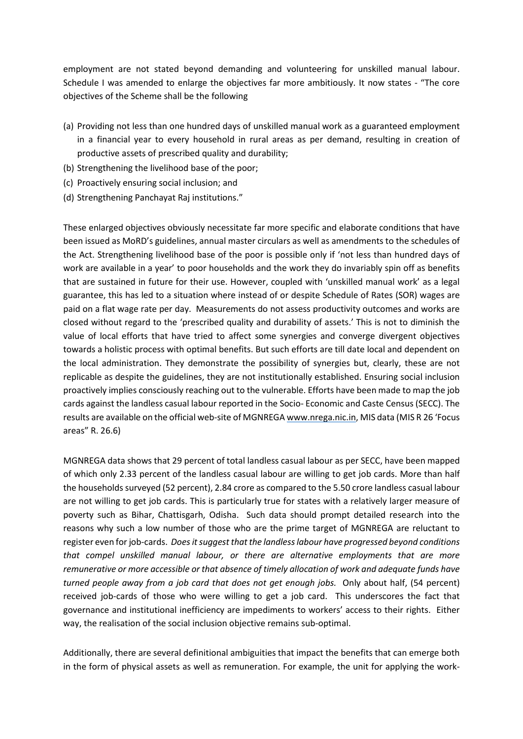employment are not stated beyond demanding and volunteering for unskilled manual labour. Schedule I was amended to enlarge the objectives far more ambitiously. It now states - "The core objectives of the Scheme shall be the following

- (a) Providing not less than one hundred days of unskilled manual work as a guaranteed employment in a financial year to every household in rural areas as per demand, resulting in creation of productive assets of prescribed quality and durability;
- (b) Strengthening the livelihood base of the poor;
- (c) Proactively ensuring social inclusion; and
- (d) Strengthening Panchayat Raj institutions."

These enlarged objectives obviously necessitate far more specific and elaborate conditions that have been issued as MoRD's guidelines, annual master circulars as well as amendments to the schedules of the Act. Strengthening livelihood base of the poor is possible only if 'not less than hundred days of work are available in a year' to poor households and the work they do invariably spin off as benefits that are sustained in future for their use. However, coupled with 'unskilled manual work' as a legal guarantee, this has led to a situation where instead of or despite Schedule of Rates (SOR) wages are paid on a flat wage rate per day. Measurements do not assess productivity outcomes and works are closed without regard to the 'prescribed quality and durability of assets.' This is not to diminish the value of local efforts that have tried to affect some synergies and converge divergent objectives towards a holistic process with optimal benefits. But such efforts are till date local and dependent on the local administration. They demonstrate the possibility of synergies but, clearly, these are not replicable as despite the guidelines, they are not institutionally established. Ensuring social inclusion proactively implies consciously reaching out to the vulnerable. Efforts have been made to map the job cards against the landless casual labour reported in the Socio- Economic and Caste Census (SECC). The results are available on the official web-site of MGNREGA [www.nrega.nic.in,](http://www.nrega.nic.in/) MIS data (MIS R 26 'Focus areas" R. 26.6)

MGNREGA data shows that 29 percent of total landless casual labour as per SECC, have been mapped of which only 2.33 percent of the landless casual labour are willing to get job cards. More than half the households surveyed (52 percent), 2.84 crore as compared to the 5.50 crore landless casual labour are not willing to get job cards. This is particularly true for states with a relatively larger measure of poverty such as Bihar, Chattisgarh, Odisha. Such data should prompt detailed research into the reasons why such a low number of those who are the prime target of MGNREGA are reluctant to register even forjob-cards. *Doesitsuggest thatthe landlesslabour have progressed beyond conditions that compel unskilled manual labour, or there are alternative employments that are more remunerative or more accessible or that absence of timely allocation of work and adequate funds have turned people away from a job card that does not get enough jobs.* Only about half, (54 percent) received job-cards of those who were willing to get a job card. This underscores the fact that governance and institutional inefficiency are impediments to workers' access to their rights. Either way, the realisation of the social inclusion objective remains sub-optimal.

Additionally, there are several definitional ambiguities that impact the benefits that can emerge both in the form of physical assets as well as remuneration. For example, the unit for applying the work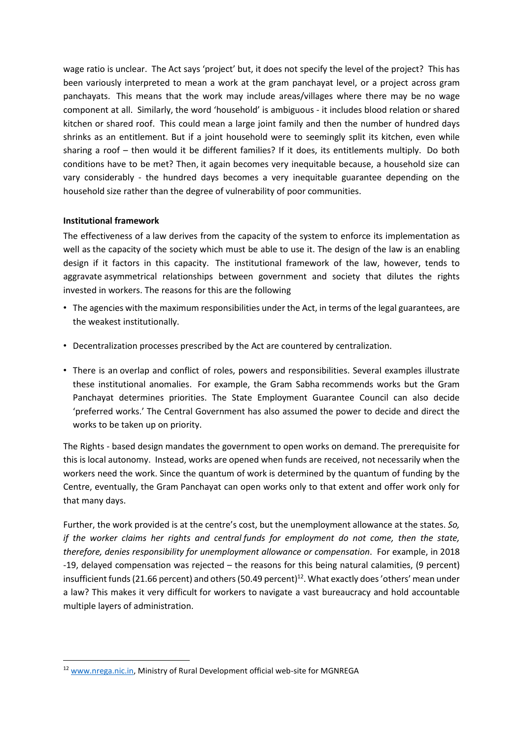wage ratio is unclear. The Act says 'project' but, it does not specify the level of the project? This has been variously interpreted to mean a work at the gram panchayat level, or a project across gram panchayats. This means that the work may include areas/villages where there may be no wage component at all. Similarly, the word 'household' is ambiguous - it includes blood relation or shared kitchen or shared roof. This could mean a large joint family and then the number of hundred days shrinks as an entitlement. But if a joint household were to seemingly split its kitchen, even while sharing a roof – then would it be different families? If it does, its entitlements multiply. Do both conditions have to be met? Then, it again becomes very inequitable because, a household size can vary considerably - the hundred days becomes a very inequitable guarantee depending on the household size rather than the degree of vulnerability of poor communities.

#### **Institutional framework**

The effectiveness of a law derives from the capacity of the system to enforce its implementation as well as the capacity of the society which must be able to use it. The design of the law is an enabling design if it factors in this capacity. The institutional framework of the law, however, tends to aggravate asymmetrical relationships between government and society that dilutes the rights invested in workers. The reasons for this are the following

- The agencies with the maximum responsibilities under the Act, in terms of the legal guarantees, are the weakest institutionally.
- Decentralization processes prescribed by the Act are countered by centralization.
- There is an overlap and conflict of roles, powers and responsibilities. Several examples illustrate these institutional anomalies. For example, the Gram Sabha recommends works but the Gram Panchayat determines priorities. The State Employment Guarantee Council can also decide 'preferred works.' The Central Government has also assumed the power to decide and direct the works to be taken up on priority.

The Rights - based design mandates the government to open works on demand. The prerequisite for this is local autonomy. Instead, works are opened when funds are received, not necessarily when the workers need the work. Since the quantum of work is determined by the quantum of funding by the Centre, eventually, the Gram Panchayat can open works only to that extent and offer work only for that many days.

Further, the work provided is at the centre's cost, but the unemployment allowance at the states. *So, if the worker claims her rights and central funds for employment do not come, then the state, therefore, denies responsibility for unemployment allowance or compensation*. For example, in 2018 -19, delayed compensation was rejected – the reasons for this being natural calamities, (9 percent) insufficient funds (21.66 percent) and others (50.49 percent)<sup>12</sup>. What exactly does 'others' mean under a law? This makes it very difficult for workers to navigate a vast bureaucracy and hold accountable multiple layers of administration.

<sup>&</sup>lt;sup>12</sup> [www.nrega.nic.in,](http://www.nrega.nic.in/) Ministry of Rural Development official web-site for MGNREGA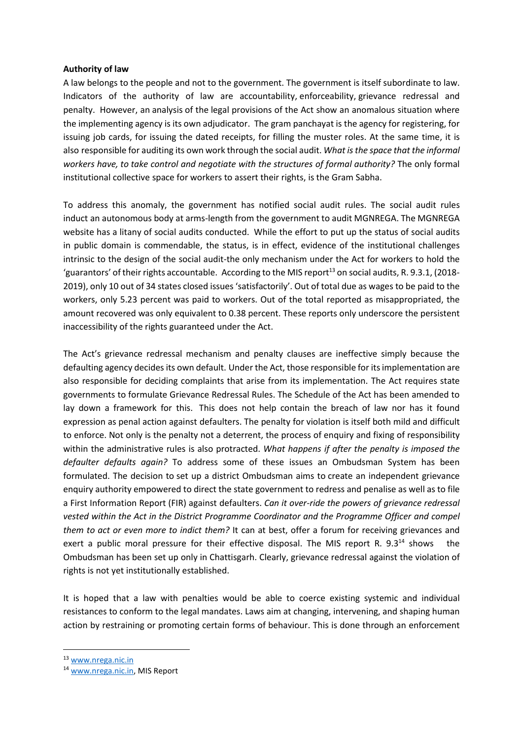#### **Authority of law**

A law belongs to the people and not to the government. The government is itself subordinate to law. Indicators of the authority of law are accountability, enforceability, grievance redressal and penalty. However, an analysis of the legal provisions of the Act show an anomalous situation where the implementing agency is its own adjudicator. The gram panchayat is the agency for registering, for issuing job cards, for issuing the dated receipts, for filling the muster roles. At the same time, it is also responsible for auditing its own work through the social audit. *What isthe space that the informal workers have, to take control and negotiate with the structures of formal authority?* The only formal institutional collective space for workers to assert their rights, is the Gram Sabha.

To address this anomaly, the government has notified social audit rules. The social audit rules induct an autonomous body at arms-length from the government to audit MGNREGA. The MGNREGA website has a litany of social audits conducted. While the effort to put up the status of social audits in public domain is commendable, the status, is in effect, evidence of the institutional challenges intrinsic to the design of the social audit-the only mechanism under the Act for workers to hold the 'guarantors' of their rights accountable. According to the MIS report<sup>13</sup> on social audits, R. 9.3.1, (2018-2019), only 10 out of 34 states closed issues'satisfactorily'. Out of total due as wages to be paid to the workers, only 5.23 percent was paid to workers. Out of the total reported as misappropriated, the amount recovered was only equivalent to 0.38 percent. These reports only underscore the persistent inaccessibility of the rights guaranteed under the Act.

The Act's grievance redressal mechanism and penalty clauses are ineffective simply because the defaulting agency decides its own default. Under the Act, those responsible for its implementation are also responsible for deciding complaints that arise from its implementation. The Act requires state governments to formulate Grievance Redressal Rules. The Schedule of the Act has been amended to lay down a framework for this. This does not help contain the breach of law nor has it found expression as penal action against defaulters. The penalty for violation is itself both mild and difficult to enforce. Not only is the penalty not a deterrent, the process of enquiry and fixing of responsibility within the administrative rules is also protracted. *What happens if after the penalty is imposed the defaulter defaults again?* To address some of these issues an Ombudsman System has been formulated. The decision to set up a district Ombudsman aims to create an independent grievance enquiry authority empowered to direct the state government to redress and penalise as well as to file a First Information Report (FIR) against defaulters. *Can it over-ride the powers of grievance redressal vested within the Act in the District Programme Coordinator and the Programme Officer and compel them to act or even more to indict them?* It can at best, offer a forum for receiving grievances and exert a public moral pressure for their effective disposal. The MIS report R.  $9.3^{14}$  shows Ombudsman has been set up only in Chattisgarh. Clearly, grievance redressal against the violation of rights is not yet institutionally established.

It is hoped that a law with penalties would be able to coerce existing systemic and individual resistances to conform to the legal mandates. Laws aim at changing, intervening, and shaping human action by restraining or promoting certain forms of behaviour. This is done through an enforcement

<sup>13</sup> [www.nrega.nic.in](http://www.nrega.nic.in/)

<sup>14</sup> [www.nrega.nic.in,](http://www.nrega.nic.in/) MIS Report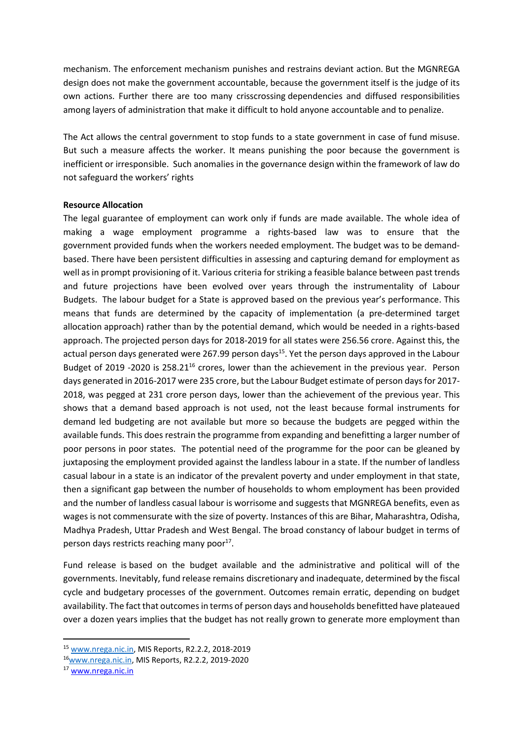mechanism. The enforcement mechanism punishes and restrains deviant action. But the MGNREGA design does not make the government accountable, because the government itself is the judge of its own actions. Further there are too many crisscrossing dependencies and diffused responsibilities among layers of administration that make it difficult to hold anyone accountable and to penalize.

The Act allows the central government to stop funds to a state government in case of fund misuse. But such a measure affects the worker. It means punishing the poor because the government is inefficient or irresponsible. Such anomalies in the governance design within the framework of law do not safeguard the workers' rights

#### **Resource Allocation**

The legal guarantee of employment can work only if funds are made available. The whole idea of making a wage employment programme a rights-based law was to ensure that the government provided funds when the workers needed employment. The budget was to be demandbased. There have been persistent difficulties in assessing and capturing demand for employment as well as in prompt provisioning of it. Various criteria for striking a feasible balance between past trends and future projections have been evolved over years through the instrumentality of Labour Budgets. The labour budget for a State is approved based on the previous year's performance. This means that funds are determined by the capacity of implementation (a pre-determined target allocation approach) rather than by the potential demand, which would be needed in a rights-based approach. The projected person days for 2018-2019 for all states were 256.56 crore. Against this, the actual person days generated were 267.99 person days<sup>15</sup>. Yet the person days approved in the Labour Budget of 2019 -2020 is 258.21<sup>16</sup> crores, lower than the achievement in the previous year. Person days generated in 2016-2017 were 235 crore, but the Labour Budget estimate of person daysfor 2017- 2018, was pegged at 231 crore person days, lower than the achievement of the previous year. This shows that a demand based approach is not used, not the least because formal instruments for demand led budgeting are not available but more so because the budgets are pegged within the available funds. This does restrain the programme from expanding and benefitting a larger number of poor persons in poor states. The potential need of the programme for the poor can be gleaned by juxtaposing the employment provided against the landless labour in a state. If the number of landless casual labour in a state is an indicator of the prevalent poverty and under employment in that state, then a significant gap between the number of households to whom employment has been provided and the number of landless casual labour is worrisome and suggests that MGNREGA benefits, even as wages is not commensurate with the size of poverty. Instances of this are Bihar, Maharashtra, Odisha, Madhya Pradesh, Uttar Pradesh and West Bengal. The broad constancy of labour budget in terms of person days restricts reaching many poor<sup>17</sup>.

Fund release is based on the budget available and the administrative and political will of the governments. Inevitably, fund release remains discretionary and inadequate, determined by the fiscal cycle and budgetary processes of the government. Outcomes remain erratic, depending on budget availability. The fact that outcomesin terms of person days and households benefitted have plateaued over a dozen years implies that the budget has not really grown to generate more employment than

<sup>15</sup> [www.nrega.nic.in,](http://www.nrega.nic.in/) MIS Reports, R2.2.2, 2018-2019

<sup>16</sup>[www.nrega.nic.in,](http://www.nrega.nic.in/) MIS Reports, R2.2.2, 2019-2020

<sup>17</sup> [www.nrega.nic.in](http://www.nrega.nic.in/)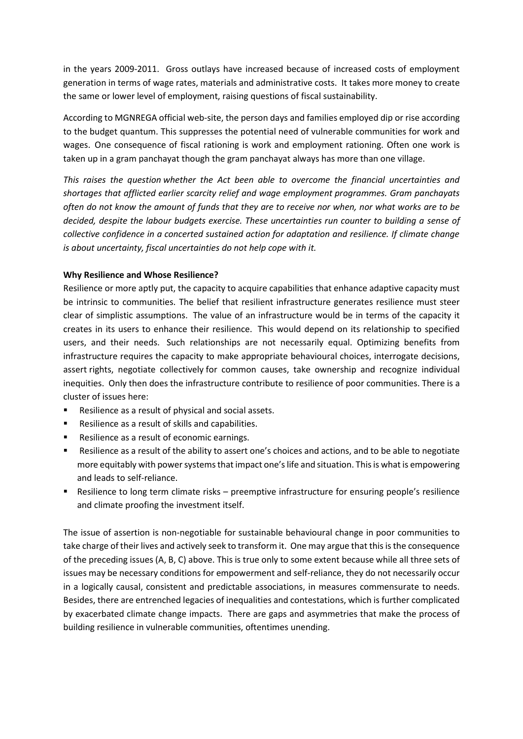in the years 2009-2011. Gross outlays have increased because of increased costs of employment generation in terms of wage rates, materials and administrative costs. It takes more money to create the same or lower level of employment, raising questions of fiscal sustainability.

According to MGNREGA official web-site, the person days and families employed dip or rise according to the budget quantum. This suppresses the potential need of vulnerable communities for work and wages. One consequence of fiscal rationing is work and employment rationing. Often one work is taken up in a gram panchayat though the gram panchayat always has more than one village.

*This raises the question whether the Act been able to overcome the financial uncertainties and shortages that afflicted earlier scarcity relief and wage employment programmes. Gram panchayats often do not know the amount of funds that they are to receive nor when, nor what works are to be decided, despite the labour budgets exercise. These uncertainties run counter to building a sense of collective confidence in a concerted sustained action for adaptation and resilience. If climate change is about uncertainty, fiscal uncertainties do not help cope with it.*

### **Why Resilience and Whose Resilience?**

Resilience or more aptly put, the capacity to acquire capabilities that enhance adaptive capacity must be intrinsic to communities. The belief that resilient infrastructure generates resilience must steer clear of simplistic assumptions. The value of an infrastructure would be in terms of the capacity it creates in its users to enhance their resilience. This would depend on its relationship to specified users, and their needs. Such relationships are not necessarily equal. Optimizing benefits from infrastructure requires the capacity to make appropriate behavioural choices, interrogate decisions, assert rights, negotiate collectively for common causes, take ownership and recognize individual inequities. Only then does the infrastructure contribute to resilience of poor communities. There is a cluster of issues here:

- Resilience as a result of physical and social assets.
- Resilience as a result of skills and capabilities.
- Resilience as a result of economic earnings.
- Resilience as a result of the ability to assert one's choices and actions, and to be able to negotiate more equitably with power systems that impact one's life and situation. This is what is empowering and leads to self-reliance.
- Resilience to long term climate risks preemptive infrastructure for ensuring people's resilience and climate proofing the investment itself.

The issue of assertion is non-negotiable for sustainable behavioural change in poor communities to take charge of their lives and actively seek to transform it. One may argue that this is the consequence of the preceding issues (A, B, C) above. This is true only to some extent because while all three sets of issues may be necessary conditions for empowerment and self-reliance, they do not necessarily occur in a logically causal, consistent and predictable associations, in measures commensurate to needs. Besides, there are entrenched legacies of inequalities and contestations, which is further complicated by exacerbated climate change impacts. There are gaps and asymmetries that make the process of building resilience in vulnerable communities, oftentimes unending.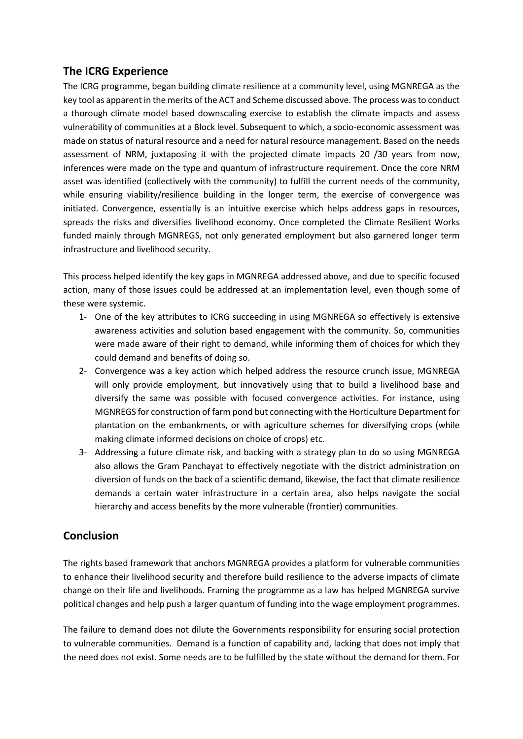# **The ICRG Experience**

The ICRG programme, began building climate resilience at a community level, using MGNREGA as the key tool as apparent in the merits of the ACT and Scheme discussed above. The process wasto conduct a thorough climate model based downscaling exercise to establish the climate impacts and assess vulnerability of communities at a Block level. Subsequent to which, a socio-economic assessment was made on status of natural resource and a need for natural resource management. Based on the needs assessment of NRM, juxtaposing it with the projected climate impacts 20 /30 years from now, inferences were made on the type and quantum of infrastructure requirement. Once the core NRM asset was identified (collectively with the community) to fulfill the current needs of the community, while ensuring viability/resilience building in the longer term, the exercise of convergence was initiated. Convergence, essentially is an intuitive exercise which helps address gaps in resources, spreads the risks and diversifies livelihood economy. Once completed the Climate Resilient Works funded mainly through MGNREGS, not only generated employment but also garnered longer term infrastructure and livelihood security.

This process helped identify the key gaps in MGNREGA addressed above, and due to specific focused action, many of those issues could be addressed at an implementation level, even though some of these were systemic.

- 1- One of the key attributes to ICRG succeeding in using MGNREGA so effectively is extensive awareness activities and solution based engagement with the community. So, communities were made aware of their right to demand, while informing them of choices for which they could demand and benefits of doing so.
- 2- Convergence was a key action which helped address the resource crunch issue, MGNREGA will only provide employment, but innovatively using that to build a livelihood base and diversify the same was possible with focused convergence activities. For instance, using MGNREGS for construction of farm pond but connecting with the Horticulture Department for plantation on the embankments, or with agriculture schemes for diversifying crops (while making climate informed decisions on choice of crops) etc.
- 3- Addressing a future climate risk, and backing with a strategy plan to do so using MGNREGA also allows the Gram Panchayat to effectively negotiate with the district administration on diversion of funds on the back of a scientific demand, likewise, the fact that climate resilience demands a certain water infrastructure in a certain area, also helps navigate the social hierarchy and access benefits by the more vulnerable (frontier) communities.

# **Conclusion**

The rights based framework that anchors MGNREGA provides a platform for vulnerable communities to enhance their livelihood security and therefore build resilience to the adverse impacts of climate change on their life and livelihoods. Framing the programme as a law has helped MGNREGA survive political changes and help push a larger quantum of funding into the wage employment programmes.

The failure to demand does not dilute the Governments responsibility for ensuring social protection to vulnerable communities. Demand is a function of capability and, lacking that does not imply that the need does not exist. Some needs are to be fulfilled by the state without the demand for them. For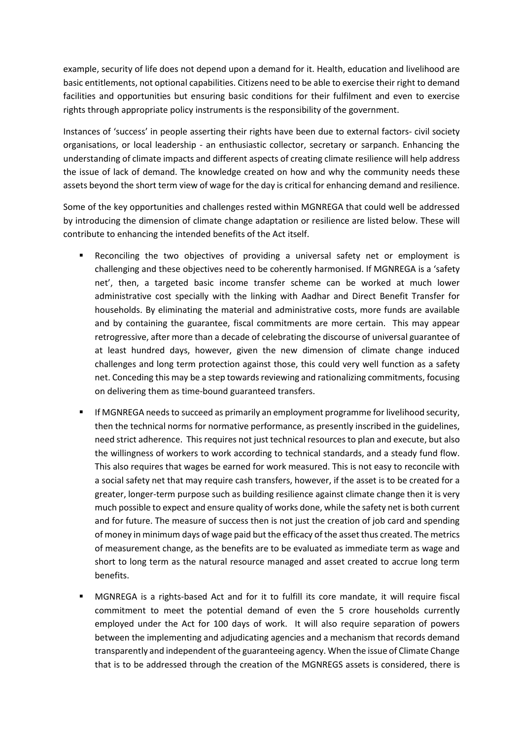example, security of life does not depend upon a demand for it. Health, education and livelihood are basic entitlements, not optional capabilities. Citizens need to be able to exercise their right to demand facilities and opportunities but ensuring basic conditions for their fulfilment and even to exercise rights through appropriate policy instruments is the responsibility of the government.

Instances of 'success' in people asserting their rights have been due to external factors- civil society organisations, or local leadership - an enthusiastic collector, secretary or sarpanch. Enhancing the understanding of climate impacts and different aspects of creating climate resilience will help address the issue of lack of demand. The knowledge created on how and why the community needs these assets beyond the short term view of wage for the day is critical for enhancing demand and resilience.

Some of the key opportunities and challenges rested within MGNREGA that could well be addressed by introducing the dimension of climate change adaptation or resilience are listed below. These will contribute to enhancing the intended benefits of the Act itself.

- Reconciling the two objectives of providing a universal safety net or employment is challenging and these objectives need to be coherently harmonised. If MGNREGA is a 'safety net', then, a targeted basic income transfer scheme can be worked at much lower administrative cost specially with the linking with Aadhar and Direct Benefit Transfer for households. By eliminating the material and administrative costs, more funds are available and by containing the guarantee, fiscal commitments are more certain. This may appear retrogressive, after more than a decade of celebrating the discourse of universal guarantee of at least hundred days, however, given the new dimension of climate change induced challenges and long term protection against those, this could very well function as a safety net. Conceding this may be a step towards reviewing and rationalizing commitments, focusing on delivering them as time-bound guaranteed transfers.
- If MGNREGA needs to succeed as primarily an employment programme for livelihood security, then the technical norms for normative performance, as presently inscribed in the guidelines, need strict adherence. Thisrequires not just technical resources to plan and execute, but also the willingness of workers to work according to technical standards, and a steady fund flow. This also requires that wages be earned for work measured. This is not easy to reconcile with a social safety net that may require cash transfers, however, if the asset is to be created for a greater, longer-term purpose such as building resilience against climate change then it is very much possible to expect and ensure quality of works done, while the safety net is both current and for future. The measure of success then is not just the creation of job card and spending of money in minimum days of wage paid but the efficacy of the asset thus created. The metrics of measurement change, as the benefits are to be evaluated as immediate term as wage and short to long term as the natural resource managed and asset created to accrue long term benefits.
- MGNREGA is a rights-based Act and for it to fulfill its core mandate, it will require fiscal commitment to meet the potential demand of even the 5 crore households currently employed under the Act for 100 days of work. It will also require separation of powers between the implementing and adjudicating agencies and a mechanism that records demand transparently and independent ofthe guaranteeing agency. When the issue of Climate Change that is to be addressed through the creation of the MGNREGS assets is considered, there is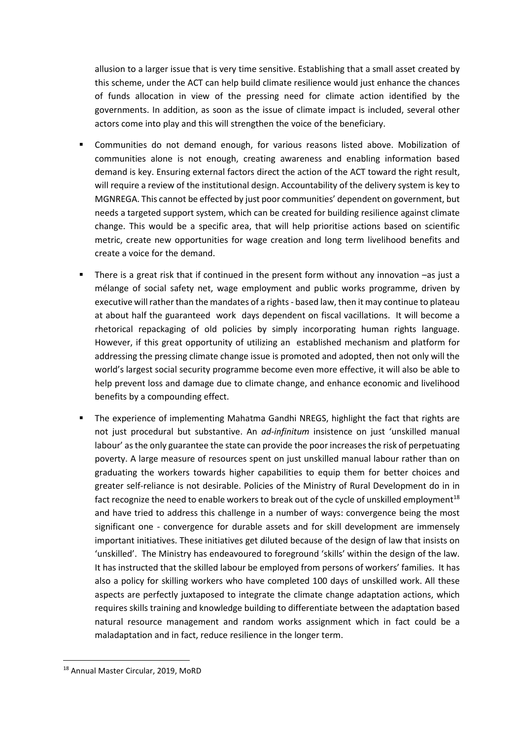allusion to a larger issue that is very time sensitive. Establishing that a small asset created by this scheme, under the ACT can help build climate resilience would just enhance the chances of funds allocation in view of the pressing need for climate action identified by the governments. In addition, as soon as the issue of climate impact is included, several other actors come into play and this will strengthen the voice of the beneficiary.

- Communities do not demand enough, for various reasons listed above. Mobilization of communities alone is not enough, creating awareness and enabling information based demand is key. Ensuring external factors direct the action of the ACT toward the right result, will require a review of the institutional design. Accountability of the delivery system is key to MGNREGA. This cannot be effected by just poor communities' dependent on government, but needs a targeted support system, which can be created for building resilience against climate change. This would be a specific area, that will help prioritise actions based on scientific metric, create new opportunities for wage creation and long term livelihood benefits and create a voice for the demand.
- There is a great risk that if continued in the present form without any innovation –as just a mélange of social safety net, wage employment and public works programme, driven by executive will rather than the mandates of a rights - based law, then it may continue to plateau at about half the guaranteed work days dependent on fiscal vacillations. It will become a rhetorical repackaging of old policies by simply incorporating human rights language. However, if this great opportunity of utilizing an established mechanism and platform for addressing the pressing climate change issue is promoted and adopted, then not only will the world's largest social security programme become even more effective, it will also be able to help prevent loss and damage due to climate change, and enhance economic and livelihood benefits by a compounding effect.
- The experience of implementing Mahatma Gandhi NREGS, highlight the fact that rights are not just procedural but substantive. An *ad-infinitum* insistence on just 'unskilled manual labour' asthe only guarantee the state can provide the poor increasesthe risk of perpetuating poverty. A large measure of resources spent on just unskilled manual labour rather than on graduating the workers towards higher capabilities to equip them for better choices and greater self-reliance is not desirable. Policies of the Ministry of Rural Development do in in fact recognize the need to enable workers to break out of the cycle of unskilled employment<sup>18</sup> and have tried to address this challenge in a number of ways: convergence being the most significant one - convergence for durable assets and for skill development are immensely important initiatives. These initiatives get diluted because of the design of law that insists on 'unskilled'. The Ministry has endeavoured to foreground 'skills' within the design of the law. It has instructed that the skilled labour be employed from persons of workers' families. It has also a policy for skilling workers who have completed 100 days of unskilled work. All these aspects are perfectly juxtaposed to integrate the climate change adaptation actions, which requires skills training and knowledge building to differentiate between the adaptation based natural resource management and random works assignment which in fact could be a maladaptation and in fact, reduce resilience in the longer term.

<sup>18</sup> Annual Master Circular, 2019, MoRD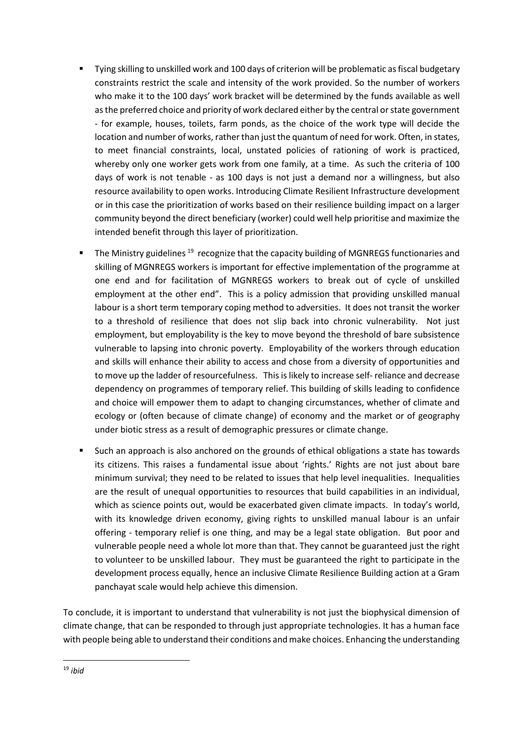- Tying skilling to unskilled work and 100 days of criterion will be problematic asfiscal budgetary constraints restrict the scale and intensity of the work provided. So the number of workers who make it to the 100 days' work bracket will be determined by the funds available as well as the preferred choice and priority of work declared either by the central or state government - for example, houses, toilets, farm ponds, as the choice of the work type will decide the location and number of works, rather than just the quantum of need for work. Often, in states, to meet financial constraints, local, unstated policies of rationing of work is practiced, whereby only one worker gets work from one family, at a time. As such the criteria of 100 days of work is not tenable - as 100 days is not just a demand nor a willingness, but also resource availability to open works. Introducing Climate Resilient Infrastructure development or in this case the prioritization of works based on their resilience building impact on a larger community beyond the direct beneficiary (worker) could well help prioritise and maximize the intended benefit through this layer of prioritization.
- The Ministry guidelines<sup>19</sup> recognize that the capacity building of MGNREGS functionaries and skilling of MGNREGS workers is important for effective implementation of the programme at one end and for facilitation of MGNREGS workers to break out of cycle of unskilled employment at the other end". This is a policy admission that providing unskilled manual labour is a short term temporary coping method to adversities. It does not transit the worker to a threshold of resilience that does not slip back into chronic vulnerability. Not just employment, but employability is the key to move beyond the threshold of bare subsistence vulnerable to lapsing into chronic poverty. Employability of the workers through education and skills will enhance their ability to access and chose from a diversity of opportunities and to move up the ladder of resourcefulness. This is likely to increase self- reliance and decrease dependency on programmes of temporary relief. This building of skills leading to confidence and choice will empower them to adapt to changing circumstances, whether of climate and ecology or (often because of climate change) of economy and the market or of geography under biotic stress as a result of demographic pressures or climate change.
- Such an approach is also anchored on the grounds of ethical obligations a state has towards its citizens. This raises a fundamental issue about 'rights.' Rights are not just about bare minimum survival; they need to be related to issues that help level inequalities. Inequalities are the result of unequal opportunities to resources that build capabilities in an individual, which as science points out, would be exacerbated given climate impacts. In today's world, with its knowledge driven economy, giving rights to unskilled manual labour is an unfair offering - temporary relief is one thing, and may be a legal state obligation. But poor and vulnerable people need a whole lot more than that. They cannot be guaranteed just the right to volunteer to be unskilled labour. They must be guaranteed the right to participate in the development process equally, hence an inclusive Climate Resilience Building action at a Gram panchayat scale would help achieve this dimension.

To conclude, it is important to understand that vulnerability is not just the biophysical dimension of climate change, that can be responded to through just appropriate technologies. It has a human face with people being able to understand their conditions and make choices. Enhancing the understanding

<sup>19</sup> *ibid*